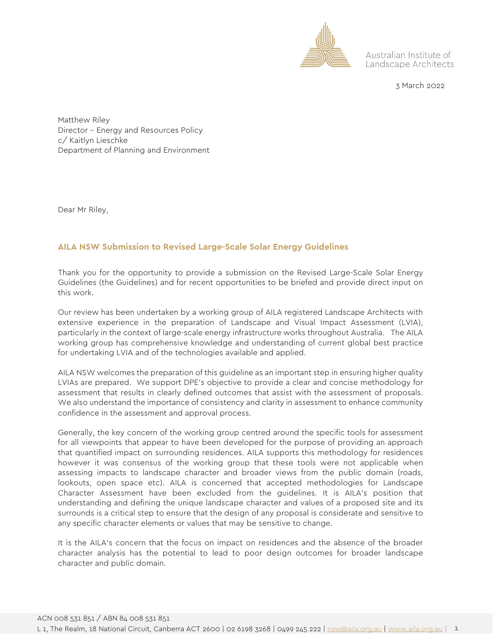

Australian Institute of Landscape Architects

3 March 2022

Matthew Riley Director – Energy and Resources Policy c/ Kaitlyn Lieschke Department of Planning and Environment

Dear Mr Riley,

### **AILA NSW Submission to Revised Large-Scale Solar Energy Guidelines**

Thank you for the opportunity to provide a submission on the Revised Large-Scale Solar Energy Guidelines (the Guidelines) and for recent opportunities to be briefed and provide direct input on this work.

Our review has been undertaken by a working group of AILA registered Landscape Architects with extensive experience in the preparation of Landscape and Visual Impact Assessment (LVIA), particularly in the context of large-scale energy infrastructure works throughout Australia. The AILA working group has comprehensive knowledge and understanding of current global best practice for undertaking LVIA and of the technologies available and applied.

AILA NSW welcomes the preparation of this guideline as an important step in ensuring higher quality LVIAs are prepared. We support DPE's objective to provide a clear and concise methodology for assessment that results in clearly defined outcomes that assist with the assessment of proposals. We also understand the importance of consistency and clarity in assessment to enhance community confidence in the assessment and approval process.

Generally, the key concern of the working group centred around the specific tools for assessment for all viewpoints that appear to have been developed for the purpose of providing an approach that quantified impact on surrounding residences. AILA supports this methodology for residences however it was consensus of the working group that these tools were not applicable when assessing impacts to landscape character and broader views from the public domain (roads, lookouts, open space etc). AILA is concerned that accepted methodologies for Landscape Character Assessment have been excluded from the guidelines. It is AILA's position that understanding and defining the unique landscape character and values of a proposed site and its surrounds is a critical step to ensure that the design of any proposal is considerate and sensitive to any specific character elements or values that may be sensitive to change.

It is the AILA's concern that the focus on impact on residences and the absence of the broader character analysis has the potential to lead to poor design outcomes for broader landscape character and public domain.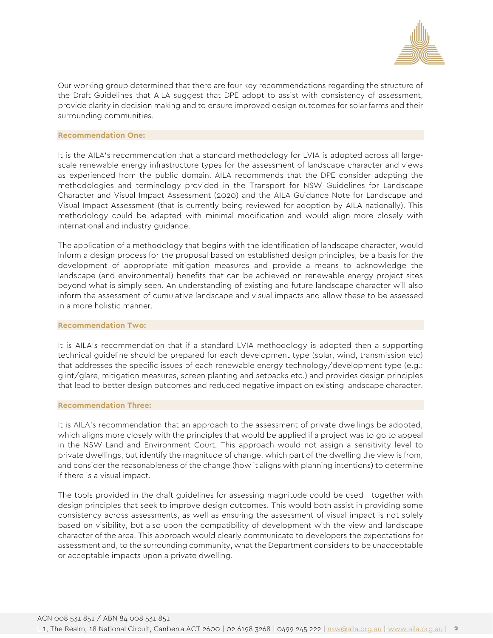

Our working group determined that there are four key recommendations regarding the structure of the Draft Guidelines that AILA suggest that DPE adopt to assist with consistency of assessment, provide clarity in decision making and to ensure improved design outcomes for solar farms and their surrounding communities.

#### **Recommendation One:**

It is the AILA's recommendation that a standard methodology for LVIA is adopted across all largescale renewable energy infrastructure types for the assessment of landscape character and views as experienced from the public domain. AILA recommends that the DPE consider adapting the methodologies and terminology provided in the Transport for NSW Guidelines for Landscape Character and Visual Impact Assessment (2020) and the AILA Guidance Note for Landscape and Visual Impact Assessment (that is currently being reviewed for adoption by AILA nationally). This methodology could be adapted with minimal modification and would align more closely with international and industry guidance.

The application of a methodology that begins with the identification of landscape character, would inform a design process for the proposal based on established design principles, be a basis for the development of appropriate mitigation measures and provide a means to acknowledge the landscape (and environmental) benefits that can be achieved on renewable energy project sites beyond what is simply seen. An understanding of existing and future landscape character will also inform the assessment of cumulative landscape and visual impacts and allow these to be assessed in a more holistic manner.

#### **Recommendation Two:**

It is AILA's recommendation that if a standard LVIA methodology is adopted then a supporting technical guideline should be prepared for each development type (solar, wind, transmission etc) that addresses the specific issues of each renewable energy technology/development type (e.g.: glint/glare, mitigation measures, screen planting and setbacks etc.) and provides design principles that lead to better design outcomes and reduced negative impact on existing landscape character.

#### **Recommendation Three:**

It is AILA's recommendation that an approach to the assessment of private dwellings be adopted, which aligns more closely with the principles that would be applied if a project was to go to appeal in the NSW Land and Environment Court. This approach would not assign a sensitivity level to private dwellings, but identify the magnitude of change, which part of the dwelling the view is from, and consider the reasonableness of the change (how it aligns with planning intentions) to determine if there is a visual impact.

The tools provided in the draft guidelines for assessing magnitude could be used together with design principles that seek to improve design outcomes. This would both assist in providing some consistency across assessments, as well as ensuring the assessment of visual impact is not solely based on visibility, but also upon the compatibility of development with the view and landscape character of the area. This approach would clearly communicate to developers the expectations for assessment and, to the surrounding community, what the Department considers to be unacceptable or acceptable impacts upon a private dwelling.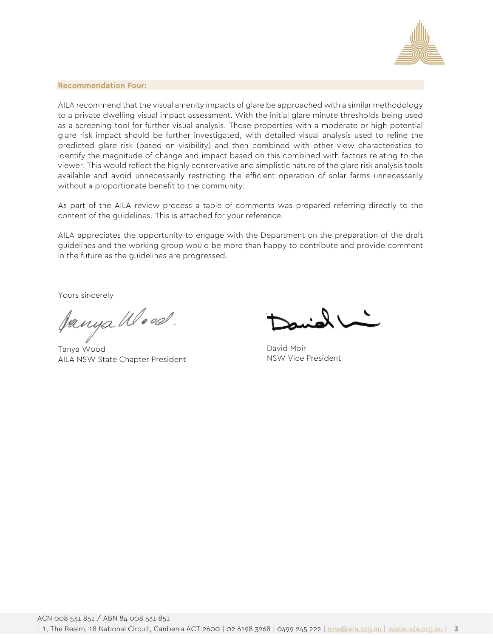

#### **Recommendation Four:**

AILA recommend that the visual amenity impacts of glare be approached with a similar methodology to a private dwelling visual impact assessment. With the initial glare minute thresholds being used as a screening tool for further visual analysis. Those properties with a moderate or high potential glare risk impact should be further investigated, with detailed visual analysis used to refine the predicted glare risk (based on visibility) and then combined with other view characteristics to identify the magnitude of change and impact based on this combined with factors relating to the viewer. This would reflect the highly conservative and simplistic nature of the glare risk analysis tools available and avoid unnecessarily restricting the efficient operation of solar farms unnecessarily without a proportionate benefit to the community.

As part of the AILA review process a table of comments was prepared referring directly to the content of the guidelines. This is attached for your reference.

AILA appreciates the opportunity to engage with the Department on the preparation of the draft guidelines and the working group would be more than happy to contribute and provide comment in the future as the guidelines are progressed.

Yours sincerely

Janya Wood.

Tanya Wood AILA NSW State Chapter President

David Moir NSW Vice President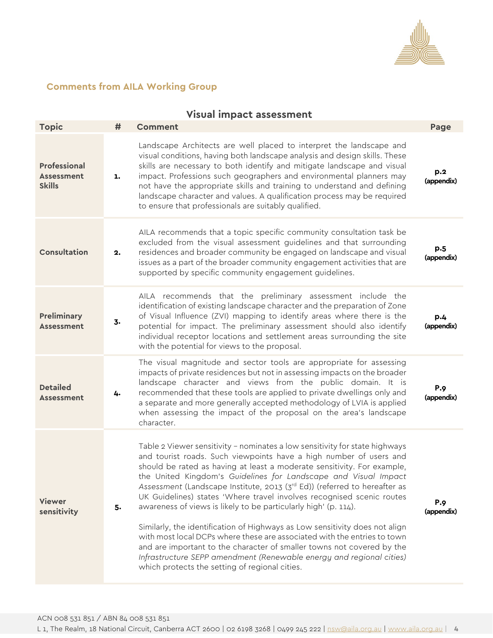

## **Comments from AILA Working Group**

|                                                           |    | <b>Visual impact assessment</b>                                                                                                                                                                                                                                                                                                                                                                                                                                                                                                                                                                                                                                                                                                                                                                                                                                                         |                          |
|-----------------------------------------------------------|----|-----------------------------------------------------------------------------------------------------------------------------------------------------------------------------------------------------------------------------------------------------------------------------------------------------------------------------------------------------------------------------------------------------------------------------------------------------------------------------------------------------------------------------------------------------------------------------------------------------------------------------------------------------------------------------------------------------------------------------------------------------------------------------------------------------------------------------------------------------------------------------------------|--------------------------|
| <b>Topic</b>                                              | #  | <b>Comment</b>                                                                                                                                                                                                                                                                                                                                                                                                                                                                                                                                                                                                                                                                                                                                                                                                                                                                          | Page                     |
| <b>Professional</b><br><b>Assessment</b><br><b>Skills</b> | ı. | Landscape Architects are well placed to interpret the landscape and<br>visual conditions, having both landscape analysis and design skills. These<br>skills are necessary to both identify and mitigate landscape and visual<br>impact. Professions such geographers and environmental planners may<br>not have the appropriate skills and training to understand and defining<br>landscape character and values. A qualification process may be required<br>to ensure that professionals are suitably qualified.                                                                                                                                                                                                                                                                                                                                                                       | p.2<br>(appendix)        |
| Consultation                                              | 2. | AILA recommends that a topic specific community consultation task be<br>excluded from the visual assessment guidelines and that surrounding<br>residences and broader community be engaged on landscape and visual<br>issues as a part of the broader community engagement activities that are<br>supported by specific community engagement guidelines.                                                                                                                                                                                                                                                                                                                                                                                                                                                                                                                                | p.5<br>(appendix)        |
| <b>Preliminary</b><br><b>Assessment</b>                   | 3. | AILA recommends that the preliminary assessment include the<br>identification of existing landscape character and the preparation of Zone<br>of Visual Influence (ZVI) mapping to identify areas where there is the<br>potential for impact. The preliminary assessment should also identify<br>individual receptor locations and settlement areas surrounding the site<br>with the potential for views to the proposal.                                                                                                                                                                                                                                                                                                                                                                                                                                                                | p.4<br>(appendix)        |
| <b>Detailed</b><br><b>Assessment</b>                      | 4. | The visual magnitude and sector tools are appropriate for assessing<br>impacts of private residences but not in assessing impacts on the broader<br>landscape character and views from the public domain. It is<br>recommended that these tools are applied to private dwellings only and<br>a separate and more generally accepted methodology of LVIA is applied<br>when assessing the impact of the proposal on the area's landscape<br>character.                                                                                                                                                                                                                                                                                                                                                                                                                                   | <b>P.9</b><br>(appendix) |
| <b>Viewer</b><br>sensitivity                              | 5. | Table 2 Viewer sensitivity - nominates a low sensitivity for state highways<br>and tourist roads. Such viewpoints have a high number of users and<br>should be rated as having at least a moderate sensitivity. For example,<br>the United Kingdom's Guidelines for Landscape and Visual Impact<br>Assessment (Landscape Institute, 2013 (3rd Ed)) (referred to hereafter as<br>UK Guidelines) states 'Where travel involves recognised scenic routes<br>awareness of views is likely to be particularly high' (p. 114).<br>Similarly, the identification of Highways as Low sensitivity does not align<br>with most local DCPs where these are associated with the entries to town<br>and are important to the character of smaller towns not covered by the<br>Infrastructure SEPP amendment (Renewable energy and regional cities)<br>which protects the setting of regional cities. | <b>P.9</b><br>(appendix) |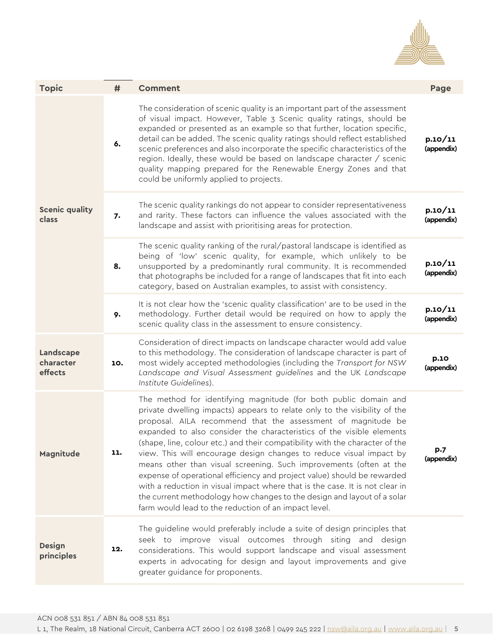

| <b>Topic</b>                      | #   | <b>Comment</b>                                                                                                                                                                                                                                                                                                                                                                                                                                                                                                                                                                                                                                                                                                                                                                                                    | Page                  |
|-----------------------------------|-----|-------------------------------------------------------------------------------------------------------------------------------------------------------------------------------------------------------------------------------------------------------------------------------------------------------------------------------------------------------------------------------------------------------------------------------------------------------------------------------------------------------------------------------------------------------------------------------------------------------------------------------------------------------------------------------------------------------------------------------------------------------------------------------------------------------------------|-----------------------|
| <b>Scenic quality</b><br>class    | 6.  | The consideration of scenic quality is an important part of the assessment<br>of visual impact. However, Table 3 Scenic quality ratings, should be<br>expanded or presented as an example so that further, location specific,<br>detail can be added. The scenic quality ratings should reflect established<br>scenic preferences and also incorporate the specific characteristics of the<br>region. Ideally, these would be based on landscape character / scenic<br>quality mapping prepared for the Renewable Energy Zones and that<br>could be uniformly applied to projects.                                                                                                                                                                                                                                | p.10/11<br>(appendix) |
|                                   | 7.  | The scenic quality rankings do not appear to consider representativeness<br>and rarity. These factors can influence the values associated with the<br>landscape and assist with prioritising areas for protection.                                                                                                                                                                                                                                                                                                                                                                                                                                                                                                                                                                                                | p.10/11<br>(appendix) |
|                                   | 8.  | The scenic quality ranking of the rural/pastoral landscape is identified as<br>being of 'low' scenic quality, for example, which unlikely to be<br>unsupported by a predominantly rural community. It is recommended<br>that photographs be included for a range of landscapes that fit into each<br>category, based on Australian examples, to assist with consistency.                                                                                                                                                                                                                                                                                                                                                                                                                                          | p.10/11<br>(appendix) |
|                                   | 9.  | It is not clear how the 'scenic quality classification' are to be used in the<br>methodology. Further detail would be required on how to apply the<br>scenic quality class in the assessment to ensure consistency.                                                                                                                                                                                                                                                                                                                                                                                                                                                                                                                                                                                               | p.10/11<br>(appendix) |
| Landscape<br>character<br>effects | 10. | Consideration of direct impacts on landscape character would add value<br>to this methodology. The consideration of landscape character is part of<br>most widely accepted methodologies (including the Transport for NSW<br>Landscape and Visual Assessment guidelines and the UK Landscape<br>Institute Guidelines).                                                                                                                                                                                                                                                                                                                                                                                                                                                                                            | p.10<br>(appendix)    |
| Magnitude                         | 11. | The method for identifying magnitude (for both public domain and<br>private dwelling impacts) appears to relate only to the visibility of the<br>proposal. AILA recommend that the assessment of magnitude be<br>expanded to also consider the characteristics of the visible elements<br>(shape, line, colour etc.) and their compatibility with the character of the<br>view. This will encourage design changes to reduce visual impact by<br>means other than visual screening. Such improvements (often at the<br>expense of operational efficiency and project value) should be rewarded<br>with a reduction in visual impact where that is the case. It is not clear in<br>the current methodology how changes to the design and layout of a solar<br>farm would lead to the reduction of an impact level. | p.7<br>(appendix)     |
| <b>Design</b><br>principles       | 12. | The guideline would preferably include a suite of design principles that<br>seek to improve visual outcomes through siting and design<br>considerations. This would support landscape and visual assessment<br>experts in advocating for design and layout improvements and give<br>greater guidance for proponents.                                                                                                                                                                                                                                                                                                                                                                                                                                                                                              |                       |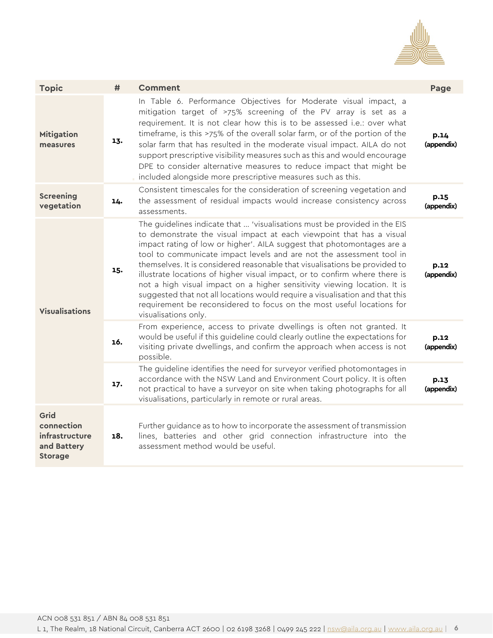

| <b>Topic</b>                                                          | #   | <b>Comment</b>                                                                                                                                                                                                                                                                                                                                                                                                                                                                                                                                                                                                                                                                                                               | Page               |
|-----------------------------------------------------------------------|-----|------------------------------------------------------------------------------------------------------------------------------------------------------------------------------------------------------------------------------------------------------------------------------------------------------------------------------------------------------------------------------------------------------------------------------------------------------------------------------------------------------------------------------------------------------------------------------------------------------------------------------------------------------------------------------------------------------------------------------|--------------------|
| <b>Mitigation</b><br>measures                                         | 13. | In Table 6. Performance Objectives for Moderate visual impact, a<br>mitigation target of >75% screening of the PV array is set as a<br>requirement. It is not clear how this is to be assessed i.e.: over what<br>timeframe, is this >75% of the overall solar farm, or of the portion of the<br>solar farm that has resulted in the moderate visual impact. AILA do not<br>support prescriptive visibility measures such as this and would encourage<br>DPE to consider alternative measures to reduce impact that might be<br>included alongside more prescriptive measures such as this.                                                                                                                                  | p.14<br>(appendix) |
| <b>Screening</b><br>vegetation                                        | 14. | Consistent timescales for the consideration of screening vegetation and<br>the assessment of residual impacts would increase consistency across<br>assessments.                                                                                                                                                                                                                                                                                                                                                                                                                                                                                                                                                              | p.15<br>(appendix) |
| <b>Visualisations</b>                                                 | 15. | The guidelines indicate that  'visualisations must be provided in the EIS<br>to demonstrate the visual impact at each viewpoint that has a visual<br>impact rating of low or higher'. AILA suggest that photomontages are a<br>tool to communicate impact levels and are not the assessment tool in<br>themselves. It is considered reasonable that visualisations be provided to<br>illustrate locations of higher visual impact, or to confirm where there is<br>not a high visual impact on a higher sensitivity viewing location. It is<br>suggested that not all locations would require a visualisation and that this<br>requirement be reconsidered to focus on the most useful locations for<br>visualisations only. | p.12<br>(appendix) |
|                                                                       | 16. | From experience, access to private dwellings is often not granted. It<br>would be useful if this guideline could clearly outline the expectations for<br>visiting private dwellings, and confirm the approach when access is not<br>possible.                                                                                                                                                                                                                                                                                                                                                                                                                                                                                | p.12<br>(appendix) |
|                                                                       | 17. | The guideline identifies the need for surveyor verified photomontages in<br>accordance with the NSW Land and Environment Court policy. It is often<br>not practical to have a surveyor on site when taking photographs for all<br>visualisations, particularly in remote or rural areas.                                                                                                                                                                                                                                                                                                                                                                                                                                     | p.13<br>(appendix) |
| Grid<br>connection<br>infrastructure<br>and Battery<br><b>Storage</b> | 18. | Further guidance as to how to incorporate the assessment of transmission<br>lines, batteries and other grid connection infrastructure into the<br>assessment method would be useful.                                                                                                                                                                                                                                                                                                                                                                                                                                                                                                                                         |                    |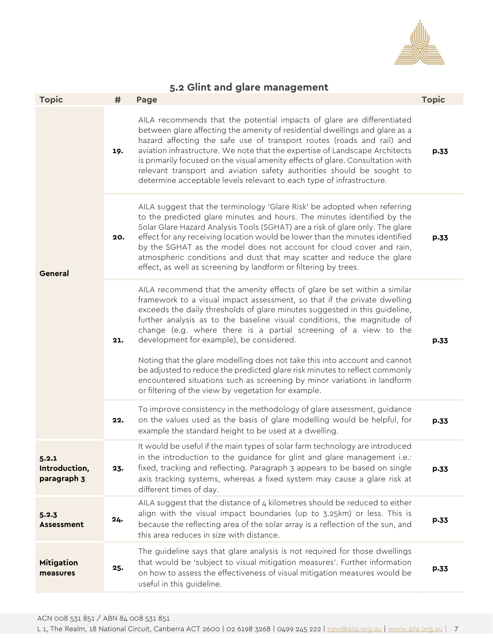

# **5.2 Glint and glare management**

| <b>Topic</b>                          | #   | Page                                                                                                                                                                                                                                                                                                                                                                                                                                                                                                                                                                                                                                                                                                                         | <b>Topic</b> |
|---------------------------------------|-----|------------------------------------------------------------------------------------------------------------------------------------------------------------------------------------------------------------------------------------------------------------------------------------------------------------------------------------------------------------------------------------------------------------------------------------------------------------------------------------------------------------------------------------------------------------------------------------------------------------------------------------------------------------------------------------------------------------------------------|--------------|
| General                               | 19. | AILA recommends that the potential impacts of glare are differentiated<br>between glare affecting the amenity of residential dwellings and glare as a<br>hazard affecting the safe use of transport routes (roads and rail) and<br>aviation infrastructure. We note that the expertise of Landscape Architects<br>is primarily focused on the visual amenity effects of glare. Consultation with<br>relevant transport and aviation safety authorities should be sought to<br>determine acceptable levels relevant to each type of infrastructure.                                                                                                                                                                           | p.33         |
|                                       | 20. | AILA suggest that the terminology 'Glare Risk' be adopted when referring<br>to the predicted glare minutes and hours. The minutes identified by the<br>Solar Glare Hazard Analysis Tools (SGHAT) are a risk of glare only. The glare<br>effect for any receiving location would be lower than the minutes identified<br>by the SGHAT as the model does not account for cloud cover and rain,<br>atmospheric conditions and dust that may scatter and reduce the glare<br>effect, as well as screening by landform or filtering by trees.                                                                                                                                                                                     | p.33         |
|                                       | 21. | AILA recommend that the amenity effects of glare be set within a similar<br>framework to a visual impact assessment, so that if the private dwelling<br>exceeds the daily thresholds of glare minutes suggested in this guideline,<br>further analysis as to the baseline visual conditions, the magnitude of<br>change (e.g. where there is a partial screening of a view to the<br>development for example), be considered.<br>Noting that the glare modelling does not take this into account and cannot<br>be adjusted to reduce the predicted glare risk minutes to reflect commonly<br>encountered situations such as screening by minor variations in landform<br>or filtering of the view by vegetation for example. | p.33         |
|                                       | 22. | To improve consistency in the methodology of glare assessment, guidance<br>on the values used as the basis of glare modelling would be helpful, for<br>example the standard height to be used at a dwelling.                                                                                                                                                                                                                                                                                                                                                                                                                                                                                                                 | p.33         |
| 5.2.1<br>Introduction,<br>paragraph 3 | 23. | It would be useful if the main types of solar farm technology are introduced<br>in the introduction to the guidance for glint and glare management i.e.:<br>fixed, tracking and reflecting. Paragraph 3 appears to be based on single<br>axis tracking systems, whereas a fixed system may cause a glare risk at<br>different times of day.                                                                                                                                                                                                                                                                                                                                                                                  | p.33         |
| 5.2.3<br><b>Assessment</b>            | 24. | AILA suggest that the distance of $4$ kilometres should be reduced to either<br>align with the visual impact boundaries (up to 3.25km) or less. This is<br>because the reflecting area of the solar array is a reflection of the sun, and<br>this area reduces in size with distance.                                                                                                                                                                                                                                                                                                                                                                                                                                        | p.33         |
| <b>Mitigation</b><br>measures         | 25. | The guideline says that glare analysis is not required for those dwellings<br>that would be 'subject to visual mitigation measures'. Further information<br>on how to assess the effectiveness of visual mitigation measures would be<br>useful in this guideline.                                                                                                                                                                                                                                                                                                                                                                                                                                                           | p.33         |
|                                       |     |                                                                                                                                                                                                                                                                                                                                                                                                                                                                                                                                                                                                                                                                                                                              |              |

**7** L 1, The Realm, 18 National Circuit, Canberra ACT 2600 | 02 6198 3268 | 0499 245 222 [| nsw@aila.org.au](mailto:nsw@aila.org.au) | [www.aila.org.au](http://www.aila.org.au/) |